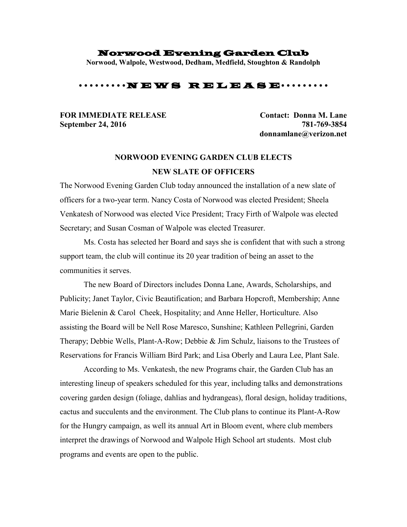#### Norwood Evening Garden Club

**Norwood, Walpole, Westwood, Dedham, Medfield, Stoughton & Randolph**

## •••••••••N E W S R E L E A S E•••••••••

# **September 24, 2016 781-769-3854**

**FOR IMMEDIATE RELEASE Contact: Donna M. Lane donnamlane@verizon.net**

# **NORWOOD EVENING GARDEN CLUB ELECTS NEW SLATE OF OFFICERS**

The Norwood Evening Garden Club today announced the installation of a new slate of officers for a two-year term. Nancy Costa of Norwood was elected President; Sheela Venkatesh of Norwood was elected Vice President; Tracy Firth of Walpole was elected Secretary; and Susan Cosman of Walpole was elected Treasurer.

Ms. Costa has selected her Board and says she is confident that with such a strong support team, the club will continue its 20 year tradition of being an asset to the communities it serves.

The new Board of Directors includes Donna Lane, Awards, Scholarships, and Publicity; Janet Taylor, Civic Beautification; and Barbara Hopcroft, Membership; Anne Marie Bielenin & Carol Cheek, Hospitality; and Anne Heller, Horticulture. Also assisting the Board will be Nell Rose Maresco, Sunshine; Kathleen Pellegrini, Garden Therapy; Debbie Wells, Plant-A-Row; Debbie & Jim Schulz, liaisons to the Trustees of Reservations for Francis William Bird Park; and Lisa Oberly and Laura Lee, Plant Sale.

According to Ms. Venkatesh, the new Programs chair, the Garden Club has an interesting lineup of speakers scheduled for this year, including talks and demonstrations covering garden design (foliage, dahlias and hydrangeas), floral design, holiday traditions, cactus and succulents and the environment. The Club plans to continue its Plant-A-Row for the Hungry campaign, as well its annual Art in Bloom event, where club members interpret the drawings of Norwood and Walpole High School art students. Most club programs and events are open to the public.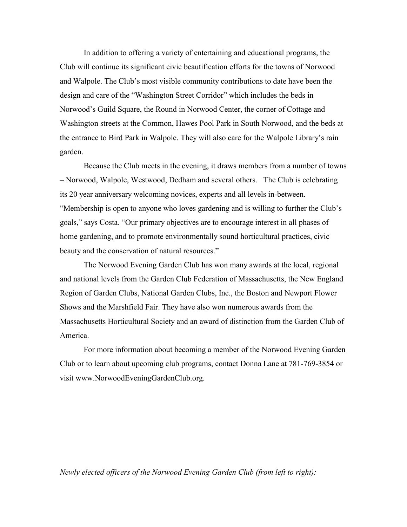In addition to offering a variety of entertaining and educational programs, the Club will continue its significant civic beautification efforts for the towns of Norwood and Walpole. The Club's most visible community contributions to date have been the design and care of the "Washington Street Corridor" which includes the beds in Norwood's Guild Square, the Round in Norwood Center, the corner of Cottage and Washington streets at the Common, Hawes Pool Park in South Norwood, and the beds at the entrance to Bird Park in Walpole. They will also care for the Walpole Library's rain garden.

Because the Club meets in the evening, it draws members from a number of towns – Norwood, Walpole, Westwood, Dedham and several others. The Club is celebrating its 20 year anniversary welcoming novices, experts and all levels in-between. "Membership is open to anyone who loves gardening and is willing to further the Club's goals," says Costa. "Our primary objectives are to encourage interest in all phases of home gardening, and to promote environmentally sound horticultural practices, civic beauty and the conservation of natural resources."

The Norwood Evening Garden Club has won many awards at the local, regional and national levels from the Garden Club Federation of Massachusetts, the New England Region of Garden Clubs, National Garden Clubs, Inc., the Boston and Newport Flower Shows and the Marshfield Fair. They have also won numerous awards from the Massachusetts Horticultural Society and an award of distinction from the Garden Club of America.

For more information about becoming a member of the Norwood Evening Garden Club or to learn about upcoming club programs, contact Donna Lane at 781-769-3854 or visit www.NorwoodEveningGardenClub.org.

### *Newly elected officers of the Norwood Evening Garden Club (from left to right):*